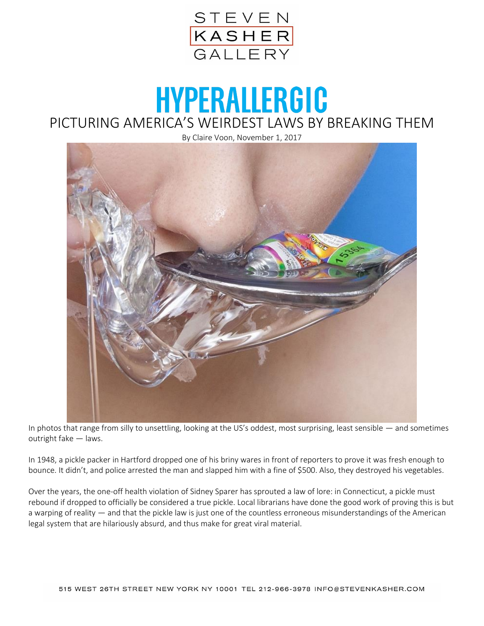

## **HYPERALLERGIC** PICTURING AMERICA'S WEIRDEST LAWS BY BREAKING THEM

By Claire Voon, November 1, 2017



In photos that range from silly to unsettling, looking at the US's oddest, most surprising, least sensible — and sometimes outright fake — laws.

In 1948, a pickle packer in Hartford dropped one of his briny wares in front of reporters to prove it was fresh enough to bounce. It didn't, and police arrested the man and slapped him with a fine of \$500. Also, they destroyed his vegetables.

Over the years, the one-off health violation of Sidney Sparer has sprouted a law of lore: in Connecticut, a pickle must rebound if dropped to officially be considered a true pickle. Local librarians have done the good work of proving this is but a warping of reality — and that the pickle law is just one of the countless erroneous misunderstandings of the American legal system that are hilariously absurd, and thus make for great viral material.